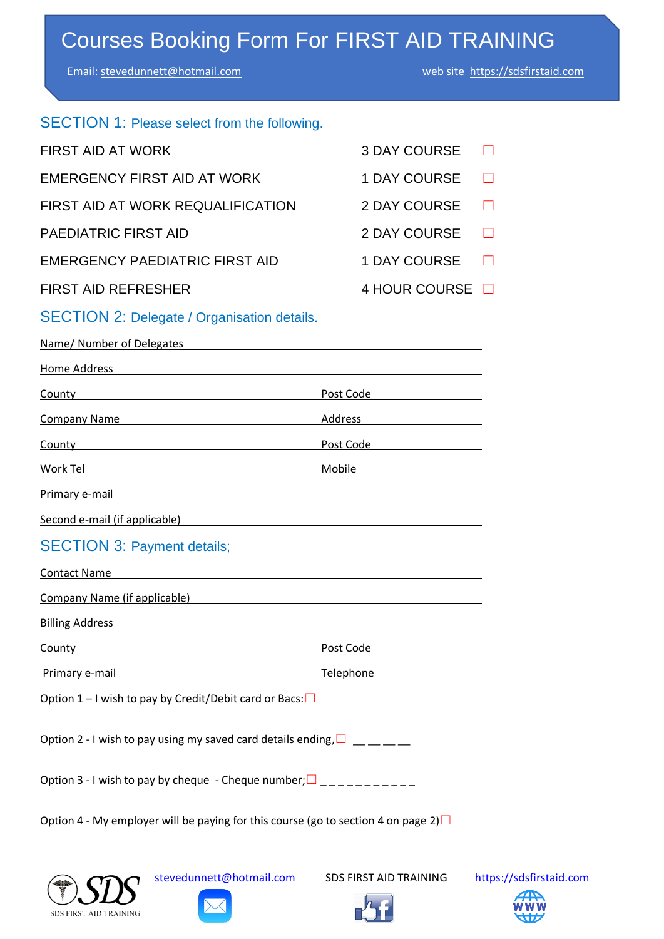# Courses Booking Form For FIRST AID TRAINING

Email: [stevedunnett@hotmail.com](mailto:stevedunnett@hotmail.com) web site [https://sdsfirstaid.com](https://sdsfirstaid.com/) 

| SECTION 1: Please select from the following.                                                                                                                                                   |                                                                                                                                                                                                                                |        |  |
|------------------------------------------------------------------------------------------------------------------------------------------------------------------------------------------------|--------------------------------------------------------------------------------------------------------------------------------------------------------------------------------------------------------------------------------|--------|--|
| <b>FIRST AID AT WORK</b>                                                                                                                                                                       | <b>3 DAY COURSE</b>                                                                                                                                                                                                            |        |  |
| EMERGENCY FIRST AID AT WORK                                                                                                                                                                    | <b>1 DAY COURSE</b>                                                                                                                                                                                                            |        |  |
| FIRST AID AT WORK REQUALIFICATION                                                                                                                                                              | 2 DAY COURSE                                                                                                                                                                                                                   | $\Box$ |  |
| PAEDIATRIC FIRST AID                                                                                                                                                                           | <b>2 DAY COURSE</b>                                                                                                                                                                                                            | $\Box$ |  |
| EMERGENCY PAEDIATRIC FIRST AID                                                                                                                                                                 | <b>1 DAY COURSE</b>                                                                                                                                                                                                            | $\Box$ |  |
| <b>FIRST AID REFRESHER</b>                                                                                                                                                                     | 4 HOUR COURSE <b>D</b>                                                                                                                                                                                                         |        |  |
| <b>SECTION 2: Delegate / Organisation details.</b>                                                                                                                                             |                                                                                                                                                                                                                                |        |  |
| Name/ Number of Delegates                                                                                                                                                                      |                                                                                                                                                                                                                                |        |  |
| <u>Home Address</u>                                                                                                                                                                            |                                                                                                                                                                                                                                |        |  |
| <b>County County County County County County County County County County County County County County County County County County County County County County County County Count</b>           | Pos <u>t Code</u>                                                                                                                                                                                                              |        |  |
| Company Name Company Name                                                                                                                                                                      | Address and the contract of the contract of the contract of the contract of the contract of the contract of the contract of the contract of the contract of the contract of the contract of the contract of the contract of th |        |  |
| <b>County County County Post Code Post Code Post Code Post Code Post Code Post Code Post Code Post Code Post Code Post Code Post Code Post Code Post Code Post Code Post Code Post Code Po</b> |                                                                                                                                                                                                                                |        |  |
|                                                                                                                                                                                                |                                                                                                                                                                                                                                |        |  |
| Primary e-mail<br><u> 1989 - Johann Stoff, deutscher Stoffen und der Stoffen und der Stoffen und der Stoffen und der Stoffen und de</u>                                                        |                                                                                                                                                                                                                                |        |  |
|                                                                                                                                                                                                |                                                                                                                                                                                                                                |        |  |
| <b>SECTION 3: Payment details;</b>                                                                                                                                                             |                                                                                                                                                                                                                                |        |  |
| <b>Contact Name</b><br><u> 1980 - Jan Stein Stein Stein Stein Stein Stein Stein Stein Stein Stein Stein Stein Stein Stein Stein Stein S</u>                                                    |                                                                                                                                                                                                                                |        |  |
| Company Name (if applicable) and the company of the company Name (if applicable)                                                                                                               |                                                                                                                                                                                                                                |        |  |
| <b>Billing Address</b>                                                                                                                                                                         |                                                                                                                                                                                                                                |        |  |
| County                                                                                                                                                                                         | Post Code                                                                                                                                                                                                                      |        |  |
| Primary e-mail <b>Primary</b> e-mail                                                                                                                                                           | Telephone and the state of the state of the state of the state of the state of the state of the state of the s                                                                                                                 |        |  |
| Option 1 – I wish to pay by Credit/Debit card or Bacs: $\Box$                                                                                                                                  |                                                                                                                                                                                                                                |        |  |
| Option 2 - I wish to pay using my saved card details ending, $\square_{\_\_ \_\_ \_\_ \_\_ \_\_ \_\_ \_ \_ \_ }$                                                                               |                                                                                                                                                                                                                                |        |  |
| Option 3 - I wish to pay by cheque - Cheque number; $\square$ _ _ _ _ _ _ _ _ _ _                                                                                                              |                                                                                                                                                                                                                                |        |  |
| Option 4 - My employer will be paying for this course (go to section 4 on page 2) $\square$                                                                                                    |                                                                                                                                                                                                                                |        |  |



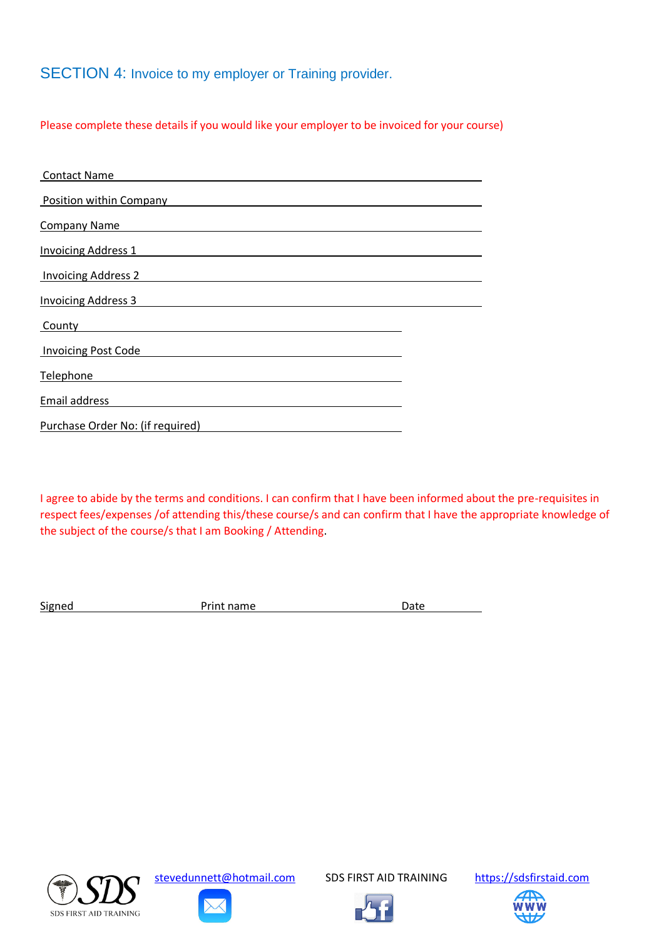SECTION 4: Invoice to my employer or Training provider.

Please complete these details if you would like your employer to be invoiced for your course)

| <b>Contact Name</b>              |  |
|----------------------------------|--|
| <b>Position within Company</b>   |  |
| <b>Company Name</b>              |  |
| <b>Invoicing Address 1</b>       |  |
| <b>Invoicing Address 2</b>       |  |
| <b>Invoicing Address 3</b>       |  |
| County                           |  |
| <b>Invoicing Post Code</b>       |  |
| Telephone                        |  |
| Email address                    |  |
| Purchase Order No: (if required) |  |

I agree to abide by the terms and conditions. I can confirm that I have been informed about the pre-requisites in respect fees/expenses /of attending this/these course/s and can confirm that I have the appropriate knowledge of the subject of the course/s that I am Booking / Attending.

Signed **Print name** Date Date



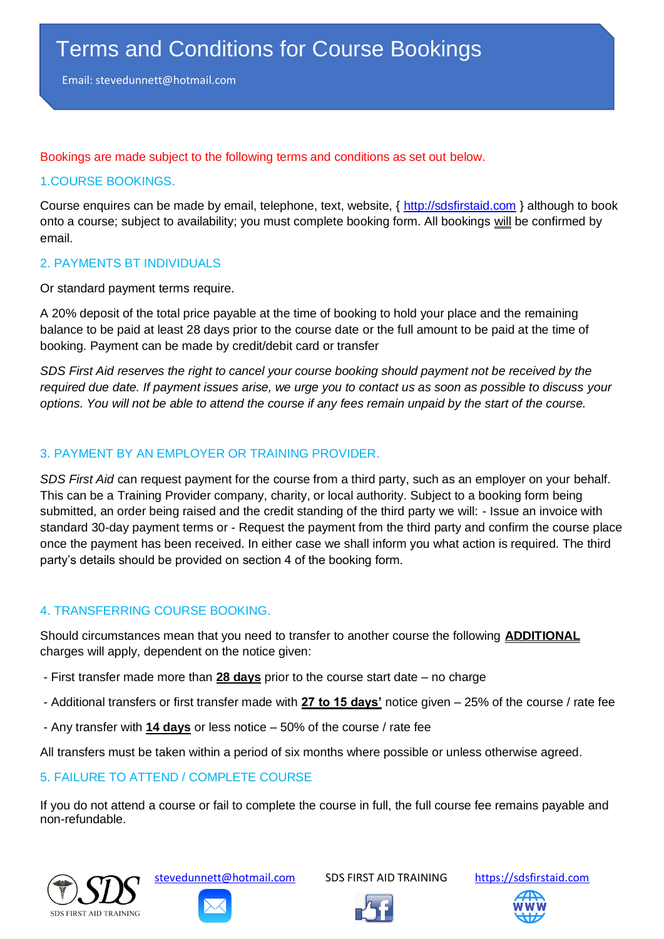Email: stevedunnett@hotmail.com

Bookings are made subject to the following terms and conditions as set out below.

#### 1.COURSE BOOKINGS.

Course enquires can be made by email, telephone, text, website, { [http://sdsfirstaid.com](http://sdsfirstaid.com/) } although to book onto a course; subject to availability; you must complete booking form. All bookings will be confirmed by email.

#### 2. PAYMENTS BT INDIVIDUALS

Or standard payment terms require.

A 20% deposit of the total price payable at the time of booking to hold your place and the remaining balance to be paid at least 28 days prior to the course date or the full amount to be paid at the time of booking. Payment can be made by credit/debit card or transfer

*SDS First Aid reserves the right to cancel your course booking should payment not be received by the required due date. If payment issues arise, we urge you to contact us as soon as possible to discuss your options. You will not be able to attend the course if any fees remain unpaid by the start of the course.*

## 3. PAYMENT BY AN EMPLOYER OR TRAINING PROVIDER.

*SDS First Aid* can request payment for the course from a third party, such as an employer on your behalf. This can be a Training Provider company, charity, or local authority. Subject to a booking form being submitted, an order being raised and the credit standing of the third party we will: - Issue an invoice with standard 30-day payment terms or - Request the payment from the third party and confirm the course place once the payment has been received. In either case we shall inform you what action is required. The third party's details should be provided on section 4 of the booking form.

#### 4. TRANSFERRING COURSE BOOKING.

Should circumstances mean that you need to transfer to another course the following **ADDITIONAL** charges will apply, dependent on the notice given:

- First transfer made more than **28 days** prior to the course start date no charge
- Additional transfers or first transfer made with **27 to 15 days'** notice given 25% of the course / rate fee
- Any transfer with **14 days** or less notice 50% of the course / rate fee

All transfers must be taken within a period of six months where possible or unless otherwise agreed.

# 5. FAILURE TO ATTEND / COMPLETE COURSE

If you do not attend a course or fail to complete the course in full, the full course fee remains payable and non-refundable.